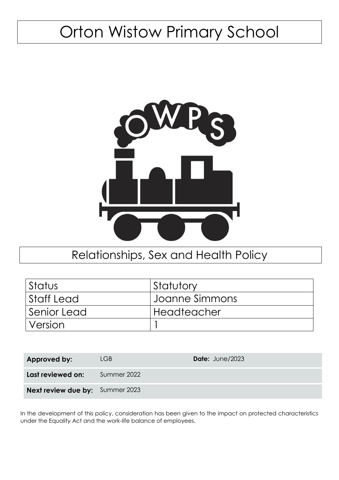# Orton Wistow Primary School



# Relationships, Sex and Health Policy

| Status      | Statutory      |
|-------------|----------------|
| Staff Lead  | Joanne Simmons |
| Senior Lead | Headteacher    |
| Version     |                |

| Approved by:                           | LGB.        | Date: June/2023 |
|----------------------------------------|-------------|-----------------|
| Last reviewed on:                      | Summer 2022 |                 |
| <b>Next review due by:</b> Summer 2023 |             |                 |

In the development of this policy, consideration has been given to the impact on protected characteristics under the Equality Act and the work-life balance of employees.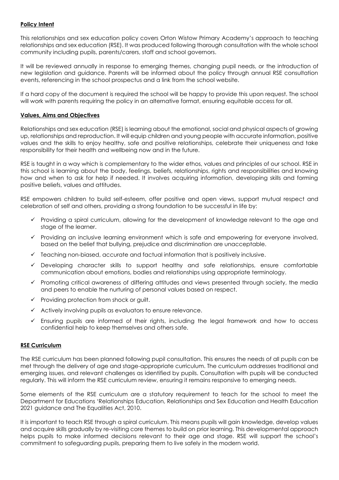## **Policy Intent**

This relationships and sex education policy covers Orton Wistow Primary Academy's approach to teaching relationships and sex education (RSE). It was produced following thorough consultation with the whole school community including pupils, parents/carers, staff and school governors.

It will be reviewed annually in response to emerging themes, changing pupil needs, or the introduction of new legislation and guidance. Parents will be informed about the policy through annual RSE consultation events, referencing in the school prospectus and a link from the school website.

If a hard copy of the document is required the school will be happy to provide this upon request. The school will work with parents requiring the policy in an alternative format, ensuring equitable access for all.

## **Values, Aims and Objectives**

Relationships and sex education (RSE) is learning about the emotional, social and physical aspects of growing up, relationships and reproduction. It will equip children and young people with accurate information, positive values and the skills to enjoy healthy, safe and positive relationships, celebrate their uniqueness and take responsibility for their health and wellbeing now and in the future.

RSE is taught in a way which is complementary to the wider ethos, values and principles of our school. RSE in this school is learning about the body, feelings, beliefs, relationships, rights and responsibilities and knowing how and when to ask for help if needed. It involves acquiring information, developing skills and forming positive beliefs, values and attitudes.

RSE empowers children to build self-esteem, offer positive and open views, support mutual respect and celebration of self and others, providing a strong foundation to be successful in life by:

- ✓ Providing a spiral curriculum, allowing for the development of knowledge relevant to the age and stage of the learner.
- ✓ Providing an inclusive learning environment which is safe and empowering for everyone involved, based on the belief that bullying, prejudice and discrimination are unacceptable.
- ✓ Teaching non-biased, accurate and factual information that is positively inclusive.
- ✓ Developing character skills to support healthy and safe relationships, ensure comfortable communication about emotions, bodies and relationships using appropriate terminology.
- ✓ Promoting critical awareness of differing attitudes and views presented through society, the media and peers to enable the nurturing of personal values based on respect.
- ✓ Providing protection from shock or guilt.
- ✓ Actively involving pupils as evaluators to ensure relevance.
- $\checkmark$  Ensuring pupils are informed of their rights, including the legal framework and how to access confidential help to keep themselves and others safe.

#### **RSE Curriculum**

The RSE curriculum has been planned following pupil consultation. This ensures the needs of all pupils can be met through the delivery of age and stage-appropriate curriculum. The curriculum addresses traditional and emerging issues, and relevant challenges as identified by pupils. Consultation with pupils will be conducted regularly. This will inform the RSE curriculum review, ensuring it remains responsive to emerging needs.

Some elements of the RSE curriculum are a statutory requirement to teach for the school to meet the Department for Educations 'Relationships Education, Relationships and Sex Education and Health Education 2021 guidance and The Equalities Act, 2010.

It is important to teach RSE through a spiral curriculum. This means pupils will gain knowledge, develop values and acquire skills gradually by re-visiting core themes to build on prior learning. This developmental approach helps pupils to make informed decisions relevant to their age and stage. RSE will support the school's commitment to safeguarding pupils, preparing them to live safely in the modern world.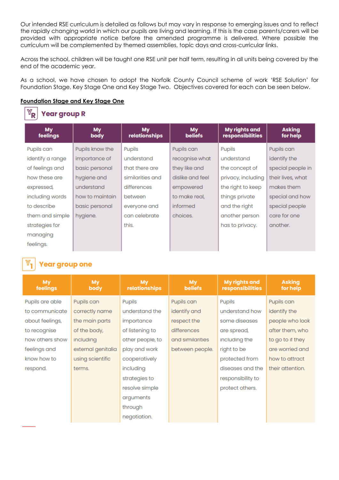Our intended RSE curriculum is detailed as follows but may vary in response to emerging issues and to reflect the rapidly changing world in which our pupils are living and learning. If this is the case parents/carers will be provided with appropriate notice before the amended programme is delivered. Where possible the curriculum will be complemented by themed assemblies, topic days and cross-curricular links.

Across the school, children will be taught one RSE unit per half term, resulting in all units being covered by the end of the academic year.

As a school, we have chosen to adopt the Norfolk County Council scheme of work 'RSE Solution' for Foundation Stage, Key Stage One and Key Stage Two. Objectives covered for each can be seen below.

## **Foundation Stage and Key Stage One**

#### $\mathbb{Y}_\mathsf{R}$ **Year group R**

| My<br>feelings   | My<br>body      | <b>My</b><br>relationships | <b>My</b><br><b>beliefs</b> | My rights and<br>responsibilities | <b>Asking</b><br>for help |
|------------------|-----------------|----------------------------|-----------------------------|-----------------------------------|---------------------------|
| Pupils can       | Pupils know the | Pupils                     | Pupils can                  | Pupils                            | Pupils can                |
| identify a range | importance of   | understand                 | recognise what              | understand                        | identify the              |
| of feelings and  | basic personal  | that there are             | they like and               | the concept of                    | special people in         |
| how these are    | hygiene and     | similarities and           | dislike and feel            | privacy, including                | their lives, what         |
| expressed,       | understand      | differences                | empowered                   | the right to keep                 | makes them                |
| including words  | how to maintain | between                    | to make real.               | things private                    | special and how           |
| to describe      | basic personal  | everyone and               | informed                    | and the right                     | special people            |
| them and simple  | hygiene.        | can celebrate              | choices.                    | another person                    | care for one              |
| strategies for   |                 | this.                      |                             | has to privacy.                   | another.                  |
| managing         |                 |                            |                             |                                   |                           |
| feelings.        |                 |                            |                             |                                   |                           |

# **Year group one**

| <b>My</b><br>feelings | <b>My</b><br>body  | <b>My</b><br>relationships | My.<br><b>beliefs</b> | My rights and<br>responsibilities | <b>Asking</b><br>for help |
|-----------------------|--------------------|----------------------------|-----------------------|-----------------------------------|---------------------------|
| Pupils are able       | Pupils can         | Pupils                     | Pupils can            | Pupils                            | Pupils can                |
| to communicate        | correctly name     | understand the             | identify and          | understand how                    | identify the              |
| about feelings,       | the main parts     | importance                 | respect the           | some diseases                     | people who look           |
| to recognise          | of the body,       | of listening to            | differences           | are spread,                       | after them, who           |
| how others show       | including          | other people, to           | and similarities      | including the                     | to go to if they          |
| feelings and          | external genitalia | play and work              | between people.       | right to be                       | are worried and           |
| know how to           | using scientific   | cooperatively              |                       | protected from                    | how to attract            |
| respond.              | terms.             | including                  |                       | diseases and the                  | their attention.          |
|                       |                    | strategies to              |                       | responsibility to                 |                           |
|                       |                    | resolve simple             |                       | protect others.                   |                           |
|                       |                    | arguments                  |                       |                                   |                           |
|                       |                    | through                    |                       |                                   |                           |
|                       |                    | negotiation.               |                       |                                   |                           |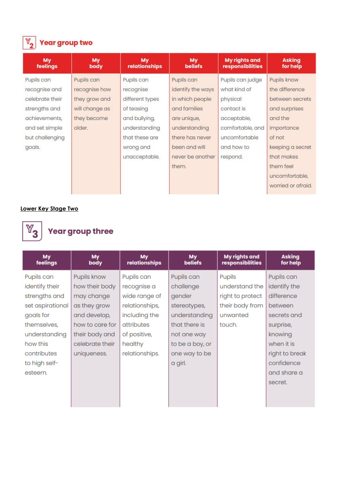

# $\boxed{\mathbb{Y}_{2}}$  Year group two

| My<br>feelings  | My<br>body     | <b>My</b><br>relationships | My<br><b>beliefs</b> | <b>My rights and</b><br>responsibilities | <b>Asking</b><br>for help |
|-----------------|----------------|----------------------------|----------------------|------------------------------------------|---------------------------|
| Pupils can      | Pupils can     | Pupils can                 | Pupils can           | Pupils can judge                         | Pupils know               |
| recognise and   | recognise how  | recognise                  | identify the ways    | what kind of                             | the difference            |
| celebrate their | they grow and  | different types            | in which people      | physical                                 | between secrets           |
| strengths and   | will change as | of teasing                 | and families         | contact is                               | and surprises             |
| achievements,   | they become    | and bullying,              | are unique,          | acceptable,                              | and the                   |
| and set simple  | older.         | understanding              | understanding        | comfortable, and                         | importance                |
| but challenging |                | that these are             | there has never      | uncomfortable                            | of not                    |
| goals.          |                | wrong and                  | been and will        | and how to                               | keeping a secret          |
|                 |                | unacceptable.              | never be another     | respond.                                 | that makes                |
|                 |                |                            | them.                |                                          | them feel                 |
|                 |                |                            |                      |                                          | uncomfortable.            |
|                 |                |                            |                      |                                          | worried or afraid.        |

# **Lower Key Stage Two**



# **Year group three**

| My<br>feelings   | <b>My</b><br>body | <b>My</b><br>relationships | <b>My</b><br><b>beliefs</b> | My rights and<br>responsibilities | <b>Asking</b><br>for help |
|------------------|-------------------|----------------------------|-----------------------------|-----------------------------------|---------------------------|
| Pupils can       | Pupils know       | Pupils can                 | Pupils can                  | Pupils                            | Pupils can                |
| identify their   | how their body    | recognise a                | challenge                   | understand the                    | identify the              |
| strengths and    | may change        | wide range of              | gender                      | right to protect                  | difference                |
| set aspirational | as they grow      | relationships,             | stereotypes,                | their body from                   | between                   |
| goals for        | and develop,      | including the              | understanding               | unwanted                          | secrets and               |
| themselves,      | how to care for   | attributes                 | that there is               | touch.                            | surprise,                 |
| understanding    | their body and    | of positive,               | not one way                 |                                   | knowing                   |
| how this         | celebrate their   | healthy                    | to be a boy, or             |                                   | when it is                |
| contributes      | uniqueness.       | relationships.             | one way to be               |                                   | right to break            |
| to high self-    |                   |                            | a girl.                     |                                   | confidence                |
| esteem.          |                   |                            |                             |                                   | and share a               |
|                  |                   |                            |                             |                                   | secret.                   |
|                  |                   |                            |                             |                                   |                           |
|                  |                   |                            |                             |                                   |                           |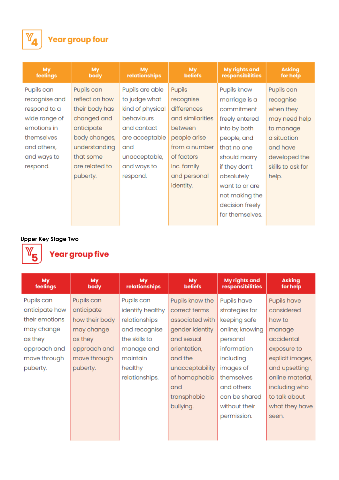

# **Year group four**

| <b>My</b><br>feelings | <b>My</b><br>body | <b>My</b><br>relationships | <b>My</b><br><b>beliefs</b> | <b>My rights and</b><br>responsibilities | <b>Asking</b><br>for help |
|-----------------------|-------------------|----------------------------|-----------------------------|------------------------------------------|---------------------------|
| Pupils can            | Pupils can        | Pupils are able            | <b>Pupils</b>               | Pupils know                              | Pupils can                |
| recognise and         | reflect on how    | to judge what              | recognise                   | marriage is a                            | recognise                 |
| respond to a          | their body has    | kind of physical           | differences                 | commitment                               | when they                 |
| wide range of         | changed and       | behaviours                 | and similarities            | freely entered                           | may need help             |
| emotions in           | anticipate        | and contact                | between                     | into by both                             | to manage                 |
| themselves            | body changes,     | are acceptable             | people arise                | people, and                              | a situation               |
| and others,           | understanding     | and                        | from a number               | that no one                              | and have                  |
| and ways to           | that some         | unacceptable,              | of factors                  | should marry                             | developed the             |
| respond.              | are related to    | and ways to                | Inc. family                 | if they don't                            | skills to ask for         |
|                       | puberty.          | respond.                   | and personal                | absolutely                               | help.                     |
|                       |                   |                            | identity.                   | want to or are                           |                           |
|                       |                   |                            |                             | not making the                           |                           |
|                       |                   |                            |                             | decision freely                          |                           |
|                       |                   |                            |                             | for themselves.                          |                           |
|                       |                   |                            |                             |                                          |                           |

# **Upper Key Stage Two**



# **Year group five**

| My<br>feelings | <b>My</b><br>body | My<br>relationships | My<br><b>beliefs</b> | <b>My rights and</b><br>responsibilities | <b>Asking</b><br>for help |
|----------------|-------------------|---------------------|----------------------|------------------------------------------|---------------------------|
| Pupils can     | Pupils can        | Pupils can          | Pupils know the      | Pupils have                              | Pupils have               |
| anticipate how | anticipate        | identify healthy    | correct terms        | strategies for                           | considered                |
| their emotions | how their body    | relationships       | associated with      | keeping safe                             | how to                    |
| may change     | may change        | and recognise       | gender identity      | online; knowing                          | manage                    |
| as they        | as they           | the skills to       | and sexual           | personal                                 | accidental                |
| approach and   | approach and      | manage and          | orientation,         | information                              | exposure to               |
| move through   | move through      | maintain            | and the              | including                                | explicit images,          |
| puberty.       | puberty.          | healthy             | unacceptability      | images of                                | and upsetting             |
|                |                   | relationships.      | of homophobic        | themselves                               | online material,          |
|                |                   |                     | and                  | and others                               | including who             |
|                |                   |                     | transphobic          | can be shared                            | to talk about             |
|                |                   |                     | bullying.            | without their                            | what they have            |
|                |                   |                     |                      | permission.                              | seen.                     |
|                |                   |                     |                      |                                          |                           |
|                |                   |                     |                      |                                          |                           |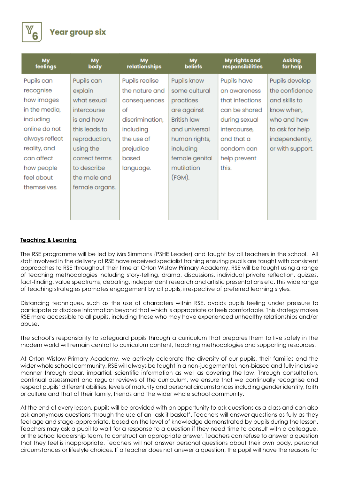

| <b>My</b><br>feelings | <b>My</b><br>body | <b>My</b><br>relationships | <b>My</b><br><b>beliefs</b> | My rights and<br>responsibilities | <b>Asking</b><br>for help |
|-----------------------|-------------------|----------------------------|-----------------------------|-----------------------------------|---------------------------|
| Pupils can            | Pupils can        | Pupils realise             | Pupils know                 | Pupils have                       | Pupils develop            |
| recognise             | explain           | the nature and             | some cultural               | an awareness                      | the confidence            |
| how images            | what sexual       | consequences               | practices                   | that infections                   | and skills to             |
| in the media,         | intercourse       | of                         | are against                 | can be shared                     | know when,                |
| including             | is and how        | discrimination,            | <b>British law</b>          | during sexual                     | who and how               |
| online do not         | this leads to     | including                  | and universal               | intercourse,                      | to ask for help           |
| always reflect        | reproduction,     | the use of                 | human rights,               | and that a                        | independently,            |
| reality, and          | using the         | prejudice                  | including                   | condom can                        | or with support.          |
| can affect            | correct terms     | based                      | female genital              | help prevent                      |                           |
| how people            | to describe       | language.                  | mutilation                  | this.                             |                           |
| feel about            | the male and      |                            | (FGM).                      |                                   |                           |
| themselves.           | female organs.    |                            |                             |                                   |                           |
|                       |                   |                            |                             |                                   |                           |
|                       |                   |                            |                             |                                   |                           |
|                       |                   |                            |                             |                                   |                           |

## **Teaching & Learning**

The RSE programme will be led by Mrs Simmons (PSHE Leader) and taught by all teachers in the school. All staff involved in the delivery of RSE have received specialist training ensuring pupils are taught with consistent approaches to RSE throughout their time at Orton Wistow Primary Academy. RSE will be taught using a range of teaching methodologies including story-telling, drama, discussions, individual private reflection, quizzes, fact-finding, value spectrums, debating, independent research and artistic presentations etc. This wide range of teaching strategies promotes engagement by all pupils, irrespective of preferred learning styles.

Distancing techniques, such as the use of characters within RSE, avoids pupils feeling under pressure to participate or disclose information beyond that which is appropriate or feels comfortable. This strategy makes RSE more accessible to all pupils, including those who may have experienced unhealthy relationships and/or abuse.

The school's responsibility to safeguard pupils through a curriculum that prepares them to live safely in the modern world will remain central to curriculum content, teaching methodologies and supporting resources.

At Orton Wistow Primary Academy, we actively celebrate the diversity of our pupils, their families and the wider whole school community. RSE will always be taught in a non-judgemental, non-biased and fully inclusive manner through clear, impartial, scientific information as well as covering the law. Through consultation, continual assessment and regular reviews of the curriculum, we ensure that we continually recognise and respect pupils' different abilities, levels of maturity and personal circumstances including gender identity, faith or culture and that of their family, friends and the wider whole school community.

At the end of every lesson, pupils will be provided with an opportunity to ask questions as a class and can also ask anonymous questions through the use of an 'ask it basket'. Teachers will answer questions as fully as they feel age and stage-appropriate, based on the level of knowledge demonstrated by pupils during the lesson. Teachers may ask a pupil to wait for a response to a question if they need time to consult with a colleague, or the school leadership team, to construct an appropriate answer. Teachers can refuse to answer a question that they feel is inappropriate. Teachers will not answer personal questions about their own body, personal circumstances or lifestyle choices. If a teacher does not answer a question, the pupil will have the reasons for